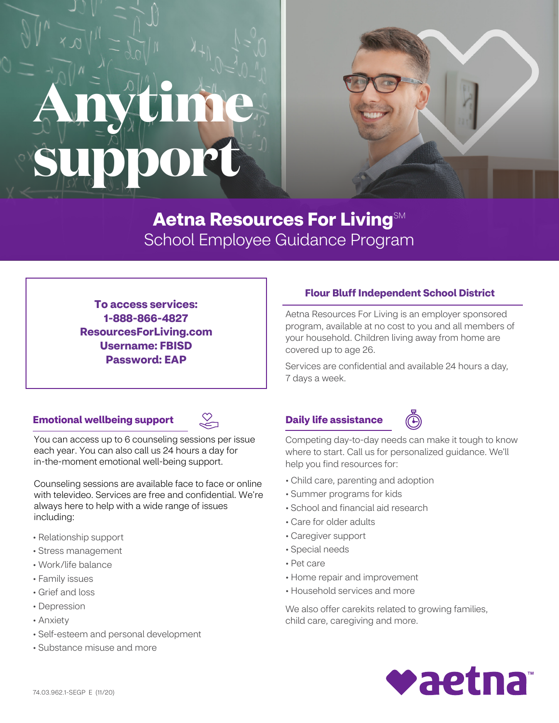# **Anytime support**



**To access services: 1-888-866-4827 ResourcesForLiving.com Username: FBISD Password: EAP**

# **Flour Bluff Independent School District**

Aetna Resources For Living is an employer sponsored program, available at no cost to you and all members of your household. Children living away from home are covered up to age 26.

Services are confidential and available 24 hours a day, 7 days a week.

### **Emotional wellbeing support**



You can access up to 6 counseling sessions per issue each year. You can also call us 24 hours a day for in-the-moment emotional well-being support.

Counseling sessions are available face to face or online with televideo. Services are free and confidential. We're always here to help with a wide range of issues including:

- Relationship support
- Stress management
- Work/life balance
- Family issues
- Grief and loss
- Depression
- Anxiety
- Self-esteem and personal development
- Substance misuse and more

# **Daily life assistance**



Competing day-to-day needs can make it tough to know where to start. Call us for personalized guidance. We'll help you find resources for:

- Child care, parenting and adoption
- Summer programs for kids
- School and financial aid research
- Care for older adults
- Caregiver support
- Special needs
- Pet care
- Home repair and improvement
- Household services and more

We also offer carekits related to growing families, child care, caregiving and more.